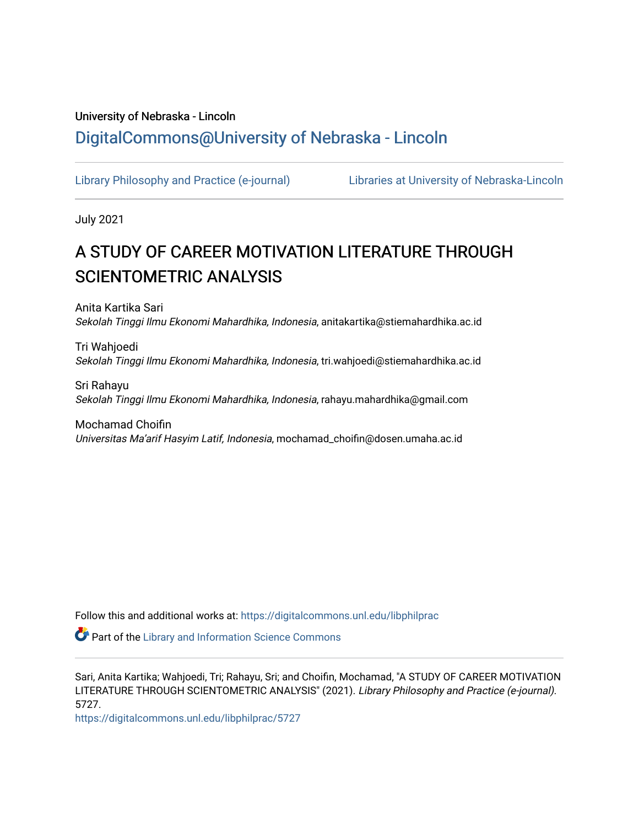# University of Nebraska - Lincoln [DigitalCommons@University of Nebraska - Lincoln](https://digitalcommons.unl.edu/)

[Library Philosophy and Practice \(e-journal\)](https://digitalcommons.unl.edu/libphilprac) [Libraries at University of Nebraska-Lincoln](https://digitalcommons.unl.edu/libraries) 

July 2021

# A STUDY OF CAREER MOTIVATION LITERATURE THROUGH SCIENTOMETRIC ANALYSIS

Anita Kartika Sari Sekolah Tinggi Ilmu Ekonomi Mahardhika, Indonesia, anitakartika@stiemahardhika.ac.id

Tri Wahjoedi Sekolah Tinggi Ilmu Ekonomi Mahardhika, Indonesia, tri.wahjoedi@stiemahardhika.ac.id

Sri Rahayu Sekolah Tinggi Ilmu Ekonomi Mahardhika, Indonesia, rahayu.mahardhika@gmail.com

Mochamad Choifin Universitas Ma'arif Hasyim Latif, Indonesia, mochamad\_choifin@dosen.umaha.ac.id

Follow this and additional works at: [https://digitalcommons.unl.edu/libphilprac](https://digitalcommons.unl.edu/libphilprac?utm_source=digitalcommons.unl.edu%2Flibphilprac%2F5727&utm_medium=PDF&utm_campaign=PDFCoverPages) 

**Part of the Library and Information Science Commons** 

Sari, Anita Kartika; Wahjoedi, Tri; Rahayu, Sri; and Choifin, Mochamad, "A STUDY OF CAREER MOTIVATION LITERATURE THROUGH SCIENTOMETRIC ANALYSIS" (2021). Library Philosophy and Practice (e-journal). 5727.

[https://digitalcommons.unl.edu/libphilprac/5727](https://digitalcommons.unl.edu/libphilprac/5727?utm_source=digitalcommons.unl.edu%2Flibphilprac%2F5727&utm_medium=PDF&utm_campaign=PDFCoverPages)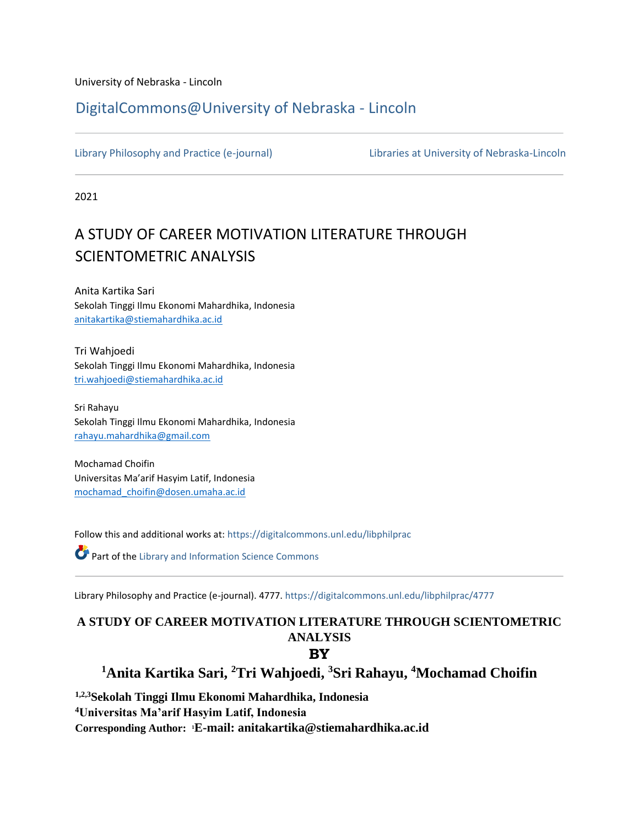University of Nebraska - Lincoln

# [DigitalCommons@University of Nebraska -](https://digitalcommons.unl.edu/) Lincoln

[Library Philosophy and Practice \(e-journal\)](https://digitalcommons.unl.edu/libphilprac) [Libraries at University of Nebraska-Lincoln](https://digitalcommons.unl.edu/libraries) 

2021

# A STUDY OF CAREER MOTIVATION LITERATURE THROUGH SCIENTOMETRIC ANALYSIS

Anita Kartika Sari Sekolah Tinggi Ilmu Ekonomi Mahardhika, Indonesia [anitakartika@stiemahardhika.ac.id](mailto:anitakartika@stiemahardhika.ac.id)

Tri Wahjoedi Sekolah Tinggi Ilmu Ekonomi Mahardhika, Indonesia [tri.wahjoedi@stiemahardhika.ac.id](mailto:tri.wahjoedi@stiemahardhika.ac.id)

Sri Rahayu Sekolah Tinggi Ilmu Ekonomi Mahardhika, Indonesia [rahayu.mahardhika@gmail.com](mailto:rahayu.mahardhika@gmail.com)

Mochamad Choifin Universitas Ma'arif Hasyim Latif, Indonesia mochamad\_choifin@dosen.umaha.ac.id

Follow this and additional works at: [https://digitalcommons.unl.edu/libphilprac](https://digitalcommons.unl.edu/libphilprac?utm_source=digitalcommons.unl.edu%2Flibphilprac%2F4777&utm_medium=PDF&utm_campaign=PDFCoverPages) 

Part of th[e Library and Information Science Commons](http://network.bepress.com/hgg/discipline/1018?utm_source=digitalcommons.unl.edu%2Flibphilprac%2F4777&utm_medium=PDF&utm_campaign=PDFCoverPages) 

Library Philosophy and Practice (e-journal). 4777. [https://digitalcommons.unl.edu/libphilprac/4777](https://digitalcommons.unl.edu/libphilprac/4777?utm_source=digitalcommons.unl.edu%2Flibphilprac%2F4777&utm_medium=PDF&utm_campaign=PDFCoverPages) 

# **A STUDY OF CAREER MOTIVATION LITERATURE THROUGH SCIENTOMETRIC ANALYSIS**

# **BY**

**<sup>1</sup>Anita Kartika Sari, <sup>2</sup>Tri Wahjoedi, <sup>3</sup>Sri Rahayu, <sup>4</sup>Mochamad Choifin**

**1,2,3Sekolah Tinggi Ilmu Ekonomi Mahardhika, Indonesia <sup>4</sup>Universitas Ma'arif Hasyim Latif, Indonesia**

**Corresponding Author: 1E-mail: [anitakartika@stiemahardhika.ac.id](mailto:anitakartika@stiemahardhika.ac.id)**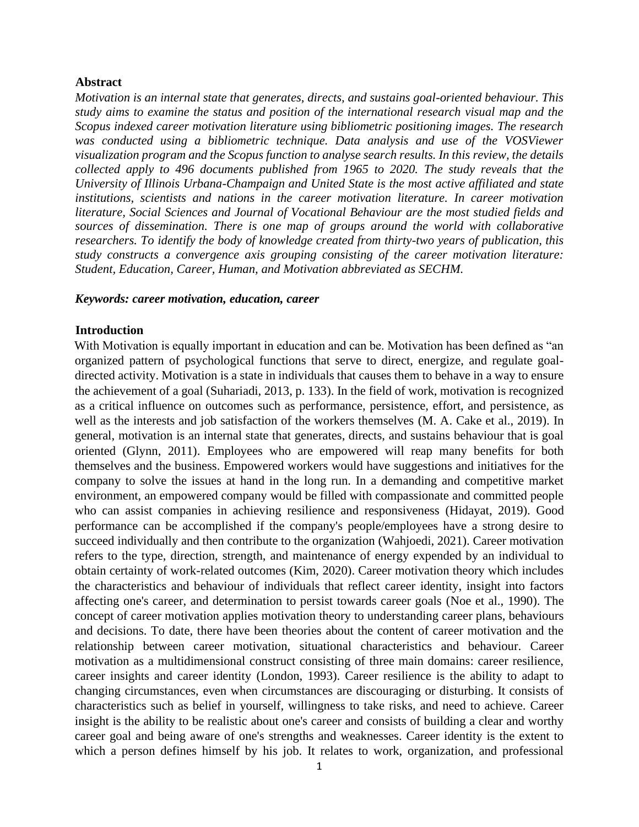#### **Abstract**

*Motivation is an internal state that generates, directs, and sustains goal-oriented behaviour. This study aims to examine the status and position of the international research visual map and the Scopus indexed career motivation literature using bibliometric positioning images. The research*  was conducted using a bibliometric technique. Data analysis and use of the VOSViewer *visualization program and the Scopus function to analyse search results. In this review, the details collected apply to 496 documents published from 1965 to 2020. The study reveals that the University of Illinois Urbana-Champaign and United State is the most active affiliated and state institutions, scientists and nations in the career motivation literature. In career motivation literature, Social Sciences and Journal of Vocational Behaviour are the most studied fields and sources of dissemination. There is one map of groups around the world with collaborative researchers. To identify the body of knowledge created from thirty-two years of publication, this study constructs a convergence axis grouping consisting of the career motivation literature: Student, Education, Career, Human, and Motivation abbreviated as SECHM.*

#### *Keywords: career motivation, education, career*

#### **Introduction**

With Motivation is equally important in education and can be. Motivation has been defined as "an organized pattern of psychological functions that serve to direct, energize, and regulate goaldirected activity. Motivation is a state in individuals that causes them to behave in a way to ensure the achievement of a goal (Suhariadi, 2013, p. 133). In the field of work, motivation is recognized as a critical influence on outcomes such as performance, persistence, effort, and persistence, as well as the interests and job satisfaction of the workers themselves (M. A. Cake et al., 2019). In general, motivation is an internal state that generates, directs, and sustains behaviour that is goal oriented (Glynn, 2011). Employees who are empowered will reap many benefits for both themselves and the business. Empowered workers would have suggestions and initiatives for the company to solve the issues at hand in the long run. In a demanding and competitive market environment, an empowered company would be filled with compassionate and committed people who can assist companies in achieving resilience and responsiveness (Hidayat, 2019). Good performance can be accomplished if the company's people/employees have a strong desire to succeed individually and then contribute to the organization (Wahjoedi, 2021). Career motivation refers to the type, direction, strength, and maintenance of energy expended by an individual to obtain certainty of work-related outcomes (Kim, 2020). Career motivation theory which includes the characteristics and behaviour of individuals that reflect career identity, insight into factors affecting one's career, and determination to persist towards career goals (Noe et al., 1990). The concept of career motivation applies motivation theory to understanding career plans, behaviours and decisions. To date, there have been theories about the content of career motivation and the relationship between career motivation, situational characteristics and behaviour. Career motivation as a multidimensional construct consisting of three main domains: career resilience, career insights and career identity (London, 1993). Career resilience is the ability to adapt to changing circumstances, even when circumstances are discouraging or disturbing. It consists of characteristics such as belief in yourself, willingness to take risks, and need to achieve. Career insight is the ability to be realistic about one's career and consists of building a clear and worthy career goal and being aware of one's strengths and weaknesses. Career identity is the extent to which a person defines himself by his job. It relates to work, organization, and professional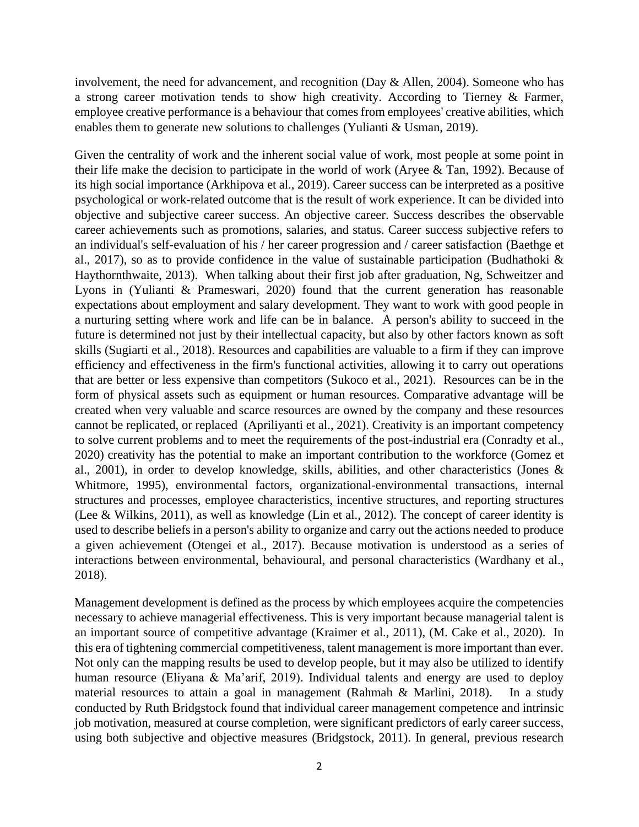involvement, the need for advancement, and recognition (Day & Allen, 2004). Someone who has a strong career motivation tends to show high creativity. According to Tierney & Farmer, employee creative performance is a behaviour that comes from employees' creative abilities, which enables them to generate new solutions to challenges (Yulianti & Usman, 2019).

Given the centrality of work and the inherent social value of work, most people at some point in their life make the decision to participate in the world of work (Aryee & Tan, 1992). Because of its high social importance (Arkhipova et al., 2019). Career success can be interpreted as a positive psychological or work-related outcome that is the result of work experience. It can be divided into objective and subjective career success. An objective career. Success describes the observable career achievements such as promotions, salaries, and status. Career success subjective refers to an individual's self-evaluation of his / her career progression and / career satisfaction (Baethge et al., 2017), so as to provide confidence in the value of sustainable participation (Budhathoki  $\&$ Haythornthwaite, 2013). When talking about their first job after graduation, Ng, Schweitzer and Lyons in (Yulianti & Prameswari, 2020) found that the current generation has reasonable expectations about employment and salary development. They want to work with good people in a nurturing setting where work and life can be in balance. A person's ability to succeed in the future is determined not just by their intellectual capacity, but also by other factors known as soft skills (Sugiarti et al., 2018). Resources and capabilities are valuable to a firm if they can improve efficiency and effectiveness in the firm's functional activities, allowing it to carry out operations that are better or less expensive than competitors (Sukoco et al., 2021). Resources can be in the form of physical assets such as equipment or human resources. Comparative advantage will be created when very valuable and scarce resources are owned by the company and these resources cannot be replicated, or replaced (Apriliyanti et al., 2021). Creativity is an important competency to solve current problems and to meet the requirements of the post-industrial era (Conradty et al., 2020) creativity has the potential to make an important contribution to the workforce (Gomez et al., 2001), in order to develop knowledge, skills, abilities, and other characteristics (Jones & Whitmore, 1995), environmental factors, organizational-environmental transactions, internal structures and processes, employee characteristics, incentive structures, and reporting structures (Lee & Wilkins, 2011), as well as knowledge (Lin et al., 2012). The concept of career identity is used to describe beliefs in a person's ability to organize and carry out the actions needed to produce a given achievement (Otengei et al., 2017). Because motivation is understood as a series of interactions between environmental, behavioural, and personal characteristics (Wardhany et al., 2018).

Management development is defined as the process by which employees acquire the competencies necessary to achieve managerial effectiveness. This is very important because managerial talent is an important source of competitive advantage (Kraimer et al., 2011), (M. Cake et al., 2020). In this era of tightening commercial competitiveness, talent management is more important than ever. Not only can the mapping results be used to develop people, but it may also be utilized to identify human resource (Eliyana & Ma'arif, 2019). Individual talents and energy are used to deploy material resources to attain a goal in management (Rahmah & Marlini, 2018). In a study conducted by Ruth Bridgstock found that individual career management competence and intrinsic job motivation, measured at course completion, were significant predictors of early career success, using both subjective and objective measures (Bridgstock, 2011). In general, previous research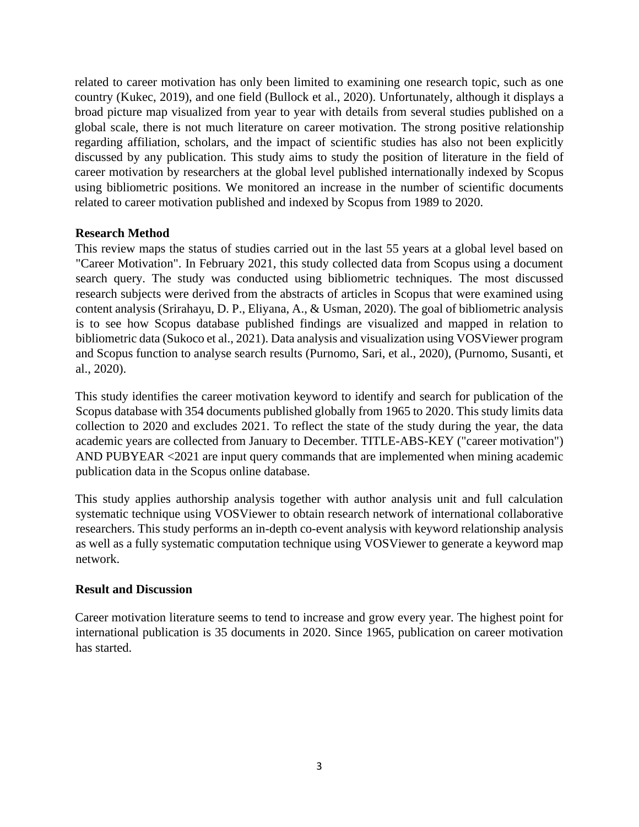related to career motivation has only been limited to examining one research topic, such as one country (Kukec, 2019), and one field (Bullock et al., 2020). Unfortunately, although it displays a broad picture map visualized from year to year with details from several studies published on a global scale, there is not much literature on career motivation. The strong positive relationship regarding affiliation, scholars, and the impact of scientific studies has also not been explicitly discussed by any publication. This study aims to study the position of literature in the field of career motivation by researchers at the global level published internationally indexed by Scopus using bibliometric positions. We monitored an increase in the number of scientific documents related to career motivation published and indexed by Scopus from 1989 to 2020.

## **Research Method**

This review maps the status of studies carried out in the last 55 years at a global level based on "Career Motivation". In February 2021, this study collected data from Scopus using a document search query. The study was conducted using bibliometric techniques. The most discussed research subjects were derived from the abstracts of articles in Scopus that were examined using content analysis (Srirahayu, D. P., Eliyana, A., & Usman, 2020). The goal of bibliometric analysis is to see how Scopus database published findings are visualized and mapped in relation to bibliometric data (Sukoco et al., 2021). Data analysis and visualization using VOSViewer program and Scopus function to analyse search results (Purnomo, Sari, et al., 2020), (Purnomo, Susanti, et al., 2020).

This study identifies the career motivation keyword to identify and search for publication of the Scopus database with 354 documents published globally from 1965 to 2020. This study limits data collection to 2020 and excludes 2021. To reflect the state of the study during the year, the data academic years are collected from January to December. TITLE-ABS-KEY ("career motivation") AND PUBYEAR <2021 are input query commands that are implemented when mining academic publication data in the Scopus online database.

This study applies authorship analysis together with author analysis unit and full calculation systematic technique using VOSViewer to obtain research network of international collaborative researchers. This study performs an in-depth co-event analysis with keyword relationship analysis as well as a fully systematic computation technique using VOSViewer to generate a keyword map network.

### **Result and Discussion**

Career motivation literature seems to tend to increase and grow every year. The highest point for international publication is 35 documents in 2020. Since 1965, publication on career motivation has started.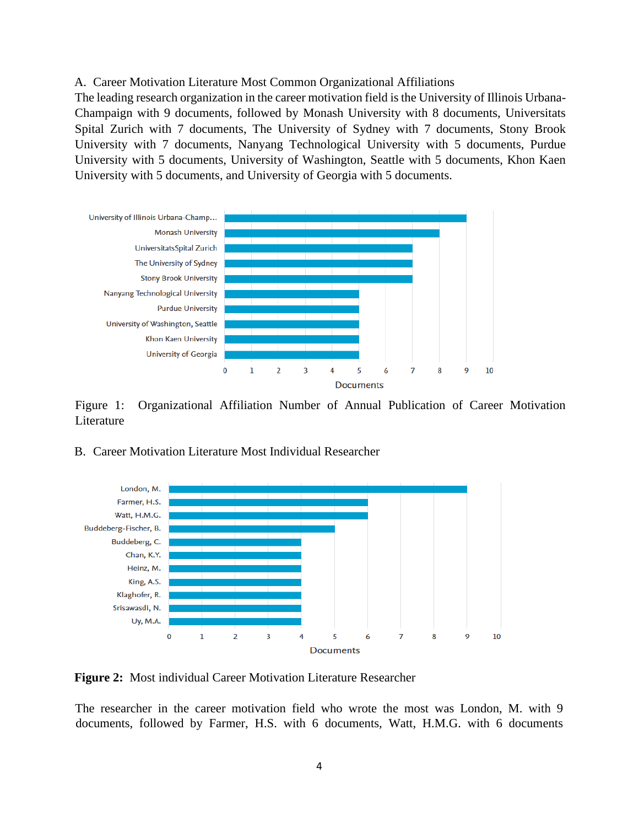#### A. Career Motivation Literature Most Common Organizational Affiliations

The leading research organization in the career motivation field is the University of Illinois Urbana-Champaign with 9 documents, followed by Monash University with 8 documents, Universitats Spital Zurich with 7 documents, The University of Sydney with 7 documents, Stony Brook University with 7 documents, Nanyang Technological University with 5 documents, Purdue University with 5 documents, University of Washington, Seattle with 5 documents, Khon Kaen University with 5 documents, and University of Georgia with 5 documents.



Figure 1: Organizational Affiliation Number of Annual Publication of Career Motivation Literature

#### B. Career Motivation Literature Most Individual Researcher



**Figure 2:** Most individual Career Motivation Literature Researcher

The researcher in the career motivation field who wrote the most was London, M. with 9 documents, followed by Farmer, H.S. with 6 documents, Watt, H.M.G. with 6 documents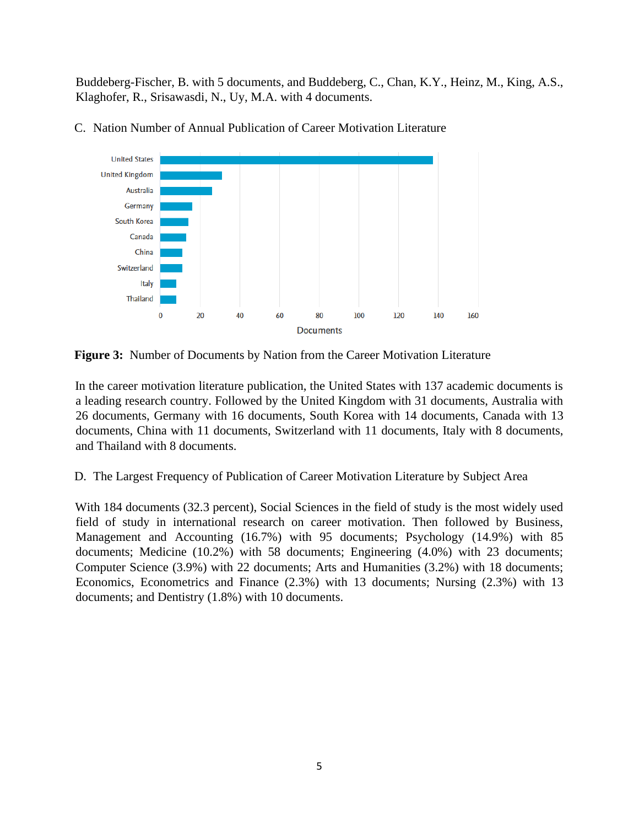Buddeberg-Fischer, B. with 5 documents, and Buddeberg, C., Chan, K.Y., Heinz, M., King, A.S., Klaghofer, R., Srisawasdi, N., Uy, M.A. with 4 documents.



C. Nation Number of Annual Publication of Career Motivation Literature

**Figure 3:** Number of Documents by Nation from the Career Motivation Literature

In the career motivation literature publication, the United States with 137 academic documents is a leading research country. Followed by the United Kingdom with 31 documents, Australia with 26 documents, Germany with 16 documents, South Korea with 14 documents, Canada with 13 documents, China with 11 documents, Switzerland with 11 documents, Italy with 8 documents, and Thailand with 8 documents.

D. The Largest Frequency of Publication of Career Motivation Literature by Subject Area

With 184 documents (32.3 percent), Social Sciences in the field of study is the most widely used field of study in international research on career motivation. Then followed by Business, Management and Accounting (16.7%) with 95 documents; Psychology (14.9%) with 85 documents; Medicine (10.2%) with 58 documents; Engineering (4.0%) with 23 documents; Computer Science (3.9%) with 22 documents; Arts and Humanities (3.2%) with 18 documents; Economics, Econometrics and Finance (2.3%) with 13 documents; Nursing (2.3%) with 13 documents; and Dentistry (1.8%) with 10 documents.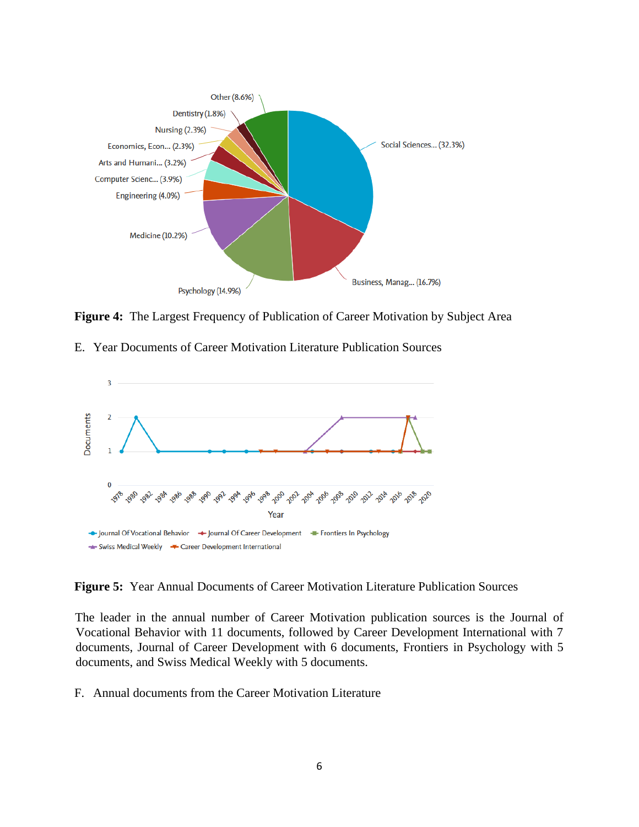

**Figure 4:** The Largest Frequency of Publication of Career Motivation by Subject Area

E. Year Documents of Career Motivation Literature Publication Sources



**Figure 5:** Year Annual Documents of Career Motivation Literature Publication Sources

The leader in the annual number of Career Motivation publication sources is the Journal of Vocational Behavior with 11 documents, followed by Career Development International with 7 documents, Journal of Career Development with 6 documents, Frontiers in Psychology with 5 documents, and Swiss Medical Weekly with 5 documents.

F. Annual documents from the Career Motivation Literature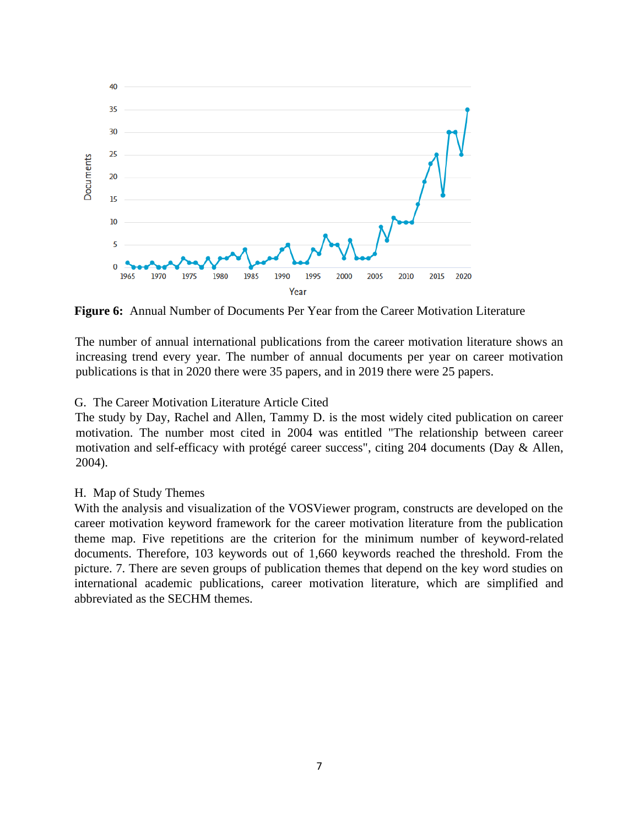

**Figure 6:** Annual Number of Documents Per Year from the Career Motivation Literature

The number of annual international publications from the career motivation literature shows an increasing trend every year. The number of annual documents per year on career motivation publications is that in 2020 there were 35 papers, and in 2019 there were 25 papers.

### G. The Career Motivation Literature Article Cited

The study by Day, Rachel and Allen, Tammy D. is the most widely cited publication on career motivation. The number most cited in 2004 was entitled "The relationship between career motivation and self-efficacy with protégé career success", citing 204 documents (Day & Allen, 2004).

#### H. Map of Study Themes

With the analysis and visualization of the VOSViewer program, constructs are developed on the career motivation keyword framework for the career motivation literature from the publication theme map. Five repetitions are the criterion for the minimum number of keyword-related documents. Therefore, 103 keywords out of 1,660 keywords reached the threshold. From the picture. 7. There are seven groups of publication themes that depend on the key word studies on international academic publications, career motivation literature, which are simplified and abbreviated as the SECHM themes.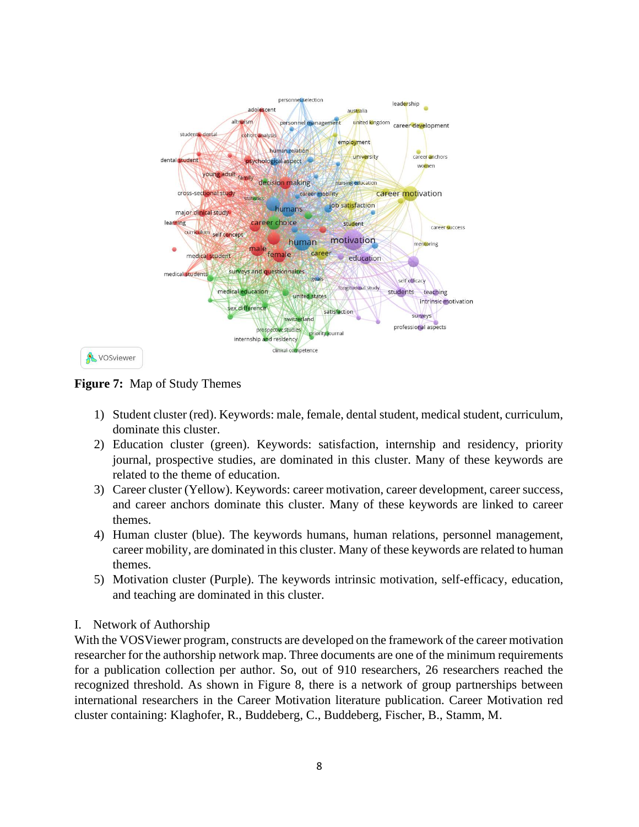

**Figure 7:** Map of Study Themes

- 1) Student cluster (red). Keywords: male, female, dental student, medical student, curriculum, dominate this cluster.
- 2) Education cluster (green). Keywords: satisfaction, internship and residency, priority journal, prospective studies, are dominated in this cluster. Many of these keywords are related to the theme of education.
- 3) Career cluster (Yellow). Keywords: career motivation, career development, career success, and career anchors dominate this cluster. Many of these keywords are linked to career themes.
- 4) Human cluster (blue). The keywords humans, human relations, personnel management, career mobility, are dominated in this cluster. Many of these keywords are related to human themes.
- 5) Motivation cluster (Purple). The keywords intrinsic motivation, self-efficacy, education, and teaching are dominated in this cluster.

# I. Network of Authorship

With the VOSViewer program, constructs are developed on the framework of the career motivation researcher for the authorship network map. Three documents are one of the minimum requirements for a publication collection per author. So, out of 910 researchers, 26 researchers reached the recognized threshold. As shown in Figure 8, there is a network of group partnerships between international researchers in the Career Motivation literature publication. Career Motivation red cluster containing: Klaghofer, R., Buddeberg, C., Buddeberg, Fischer, B., Stamm, M.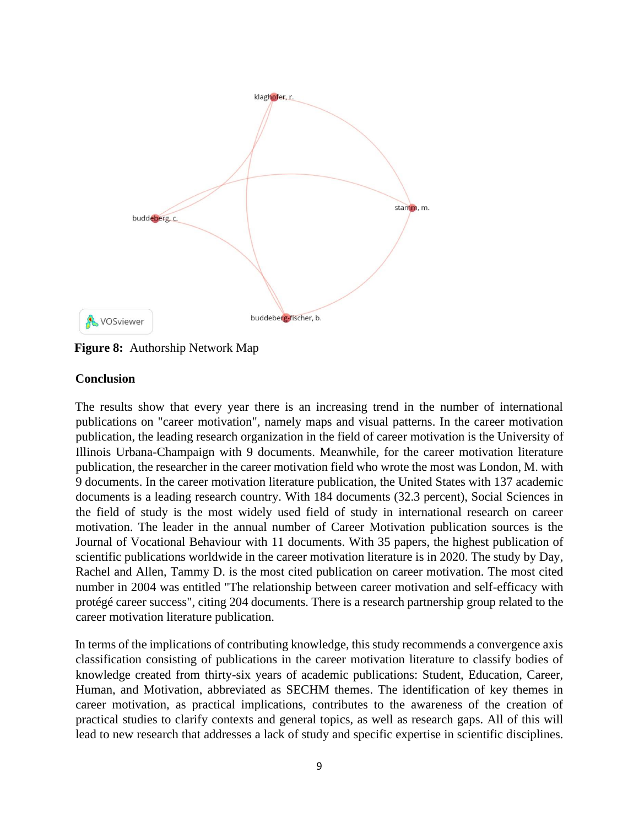

**Figure 8:** Authorship Network Map

# **Conclusion**

The results show that every year there is an increasing trend in the number of international publications on "career motivation", namely maps and visual patterns. In the career motivation publication, the leading research organization in the field of career motivation is the University of Illinois Urbana-Champaign with 9 documents. Meanwhile, for the career motivation literature publication, the researcher in the career motivation field who wrote the most was London, M. with 9 documents. In the career motivation literature publication, the United States with 137 academic documents is a leading research country. With 184 documents (32.3 percent), Social Sciences in the field of study is the most widely used field of study in international research on career motivation. The leader in the annual number of Career Motivation publication sources is the Journal of Vocational Behaviour with 11 documents. With 35 papers, the highest publication of scientific publications worldwide in the career motivation literature is in 2020. The study by Day, Rachel and Allen, Tammy D. is the most cited publication on career motivation. The most cited number in 2004 was entitled "The relationship between career motivation and self-efficacy with protégé career success", citing 204 documents. There is a research partnership group related to the career motivation literature publication.

In terms of the implications of contributing knowledge, this study recommends a convergence axis classification consisting of publications in the career motivation literature to classify bodies of knowledge created from thirty-six years of academic publications: Student, Education, Career, Human, and Motivation, abbreviated as SECHM themes. The identification of key themes in career motivation, as practical implications, contributes to the awareness of the creation of practical studies to clarify contexts and general topics, as well as research gaps. All of this will lead to new research that addresses a lack of study and specific expertise in scientific disciplines.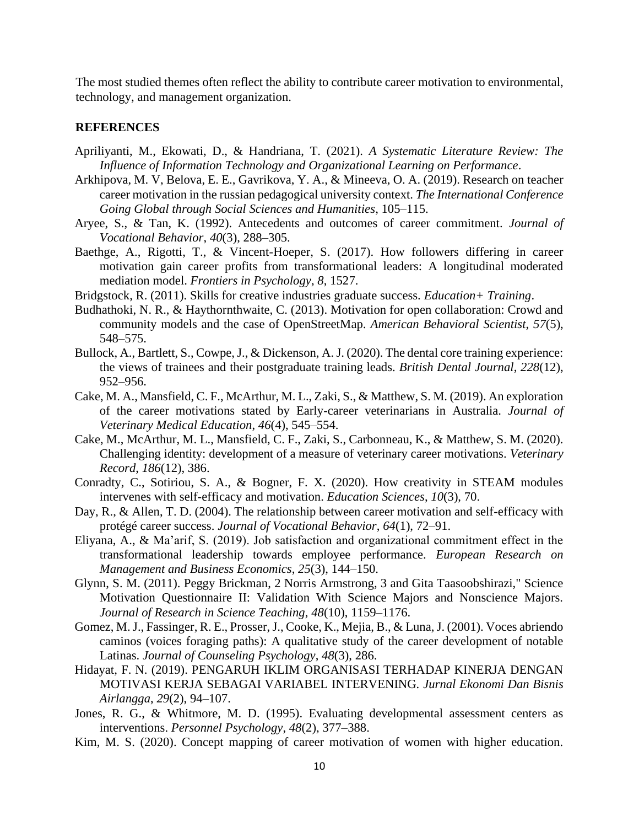The most studied themes often reflect the ability to contribute career motivation to environmental, technology, and management organization.

#### **REFERENCES**

- Apriliyanti, M., Ekowati, D., & Handriana, T. (2021). *A Systematic Literature Review: The Influence of Information Technology and Organizational Learning on Performance*.
- Arkhipova, M. V, Belova, E. E., Gavrikova, Y. A., & Mineeva, O. A. (2019). Research on teacher career motivation in the russian pedagogical university context. *The International Conference Going Global through Social Sciences and Humanities*, 105–115.
- Aryee, S., & Tan, K. (1992). Antecedents and outcomes of career commitment. *Journal of Vocational Behavior*, *40*(3), 288–305.
- Baethge, A., Rigotti, T., & Vincent-Hoeper, S. (2017). How followers differing in career motivation gain career profits from transformational leaders: A longitudinal moderated mediation model. *Frontiers in Psychology*, *8*, 1527.
- Bridgstock, R. (2011). Skills for creative industries graduate success. *Education+ Training*.
- Budhathoki, N. R., & Haythornthwaite, C. (2013). Motivation for open collaboration: Crowd and community models and the case of OpenStreetMap. *American Behavioral Scientist*, *57*(5), 548–575.
- Bullock, A., Bartlett, S., Cowpe, J., & Dickenson, A. J. (2020). The dental core training experience: the views of trainees and their postgraduate training leads. *British Dental Journal*, *228*(12), 952–956.
- Cake, M. A., Mansfield, C. F., McArthur, M. L., Zaki, S., & Matthew, S. M. (2019). An exploration of the career motivations stated by Early-career veterinarians in Australia. *Journal of Veterinary Medical Education*, *46*(4), 545–554.
- Cake, M., McArthur, M. L., Mansfield, C. F., Zaki, S., Carbonneau, K., & Matthew, S. M. (2020). Challenging identity: development of a measure of veterinary career motivations. *Veterinary Record*, *186*(12), 386.
- Conradty, C., Sotiriou, S. A., & Bogner, F. X. (2020). How creativity in STEAM modules intervenes with self-efficacy and motivation. *Education Sciences*, *10*(3), 70.
- Day, R., & Allen, T. D. (2004). The relationship between career motivation and self-efficacy with protégé career success. *Journal of Vocational Behavior*, *64*(1), 72–91.
- Eliyana, A., & Ma'arif, S. (2019). Job satisfaction and organizational commitment effect in the transformational leadership towards employee performance. *European Research on Management and Business Economics*, *25*(3), 144–150.
- Glynn, S. M. (2011). Peggy Brickman, 2 Norris Armstrong, 3 and Gita Taasoobshirazi," Science Motivation Questionnaire II: Validation With Science Majors and Nonscience Majors. *Journal of Research in Science Teaching*, *48*(10), 1159–1176.
- Gomez, M. J., Fassinger, R. E., Prosser, J., Cooke, K., Mejia, B., & Luna, J. (2001). Voces abriendo caminos (voices foraging paths): A qualitative study of the career development of notable Latinas. *Journal of Counseling Psychology*, *48*(3), 286.
- Hidayat, F. N. (2019). PENGARUH IKLIM ORGANISASI TERHADAP KINERJA DENGAN MOTIVASI KERJA SEBAGAI VARIABEL INTERVENING. *Jurnal Ekonomi Dan Bisnis Airlangga*, *29*(2), 94–107.
- Jones, R. G., & Whitmore, M. D. (1995). Evaluating developmental assessment centers as interventions. *Personnel Psychology*, *48*(2), 377–388.
- Kim, M. S. (2020). Concept mapping of career motivation of women with higher education.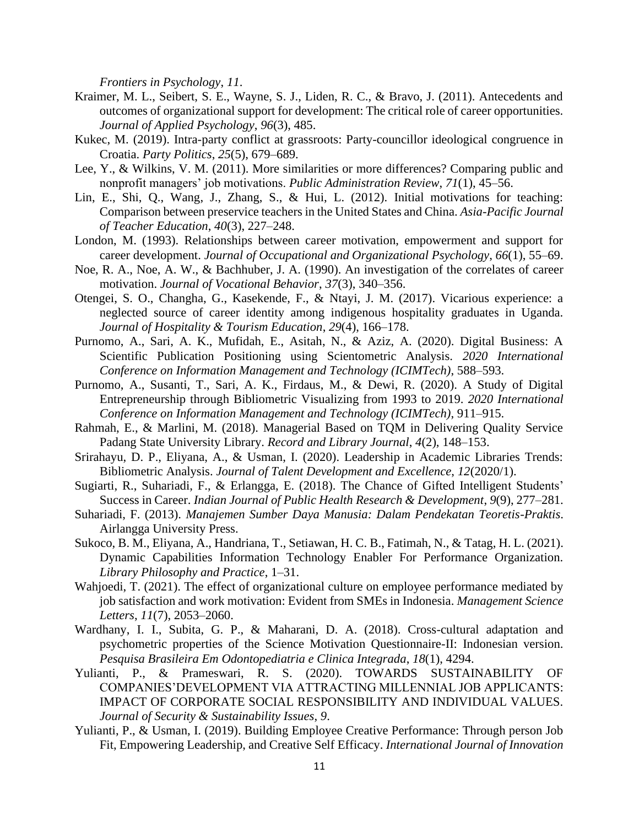*Frontiers in Psychology*, *11*.

- Kraimer, M. L., Seibert, S. E., Wayne, S. J., Liden, R. C., & Bravo, J. (2011). Antecedents and outcomes of organizational support for development: The critical role of career opportunities. *Journal of Applied Psychology*, *96*(3), 485.
- Kukec, M. (2019). Intra-party conflict at grassroots: Party-councillor ideological congruence in Croatia. *Party Politics*, *25*(5), 679–689.
- Lee, Y., & Wilkins, V. M. (2011). More similarities or more differences? Comparing public and nonprofit managers' job motivations. *Public Administration Review*, *71*(1), 45–56.
- Lin, E., Shi, Q., Wang, J., Zhang, S., & Hui, L. (2012). Initial motivations for teaching: Comparison between preservice teachers in the United States and China. *Asia-Pacific Journal of Teacher Education*, *40*(3), 227–248.
- London, M. (1993). Relationships between career motivation, empowerment and support for career development. *Journal of Occupational and Organizational Psychology*, *66*(1), 55–69.
- Noe, R. A., Noe, A. W., & Bachhuber, J. A. (1990). An investigation of the correlates of career motivation. *Journal of Vocational Behavior*, *37*(3), 340–356.
- Otengei, S. O., Changha, G., Kasekende, F., & Ntayi, J. M. (2017). Vicarious experience: a neglected source of career identity among indigenous hospitality graduates in Uganda. *Journal of Hospitality & Tourism Education*, *29*(4), 166–178.
- Purnomo, A., Sari, A. K., Mufidah, E., Asitah, N., & Aziz, A. (2020). Digital Business: A Scientific Publication Positioning using Scientometric Analysis. *2020 International Conference on Information Management and Technology (ICIMTech)*, 588–593.
- Purnomo, A., Susanti, T., Sari, A. K., Firdaus, M., & Dewi, R. (2020). A Study of Digital Entrepreneurship through Bibliometric Visualizing from 1993 to 2019. *2020 International Conference on Information Management and Technology (ICIMTech)*, 911–915.
- Rahmah, E., & Marlini, M. (2018). Managerial Based on TQM in Delivering Quality Service Padang State University Library. *Record and Library Journal*, *4*(2), 148–153.
- Srirahayu, D. P., Eliyana, A., & Usman, I. (2020). Leadership in Academic Libraries Trends: Bibliometric Analysis. *Journal of Talent Development and Excellence*, *12*(2020/1).
- Sugiarti, R., Suhariadi, F., & Erlangga, E. (2018). The Chance of Gifted Intelligent Students' Success in Career. *Indian Journal of Public Health Research & Development*, *9*(9), 277–281.
- Suhariadi, F. (2013). *Manajemen Sumber Daya Manusia: Dalam Pendekatan Teoretis-Praktis*. Airlangga University Press.
- Sukoco, B. M., Eliyana, A., Handriana, T., Setiawan, H. C. B., Fatimah, N., & Tatag, H. L. (2021). Dynamic Capabilities Information Technology Enabler For Performance Organization. *Library Philosophy and Practice*, 1–31.
- Wahjoedi, T. (2021). The effect of organizational culture on employee performance mediated by job satisfaction and work motivation: Evident from SMEs in Indonesia. *Management Science Letters*, *11*(7), 2053–2060.
- Wardhany, I. I., Subita, G. P., & Maharani, D. A. (2018). Cross-cultural adaptation and psychometric properties of the Science Motivation Questionnaire-II: Indonesian version. *Pesquisa Brasileira Em Odontopediatria e Clinica Integrada*, *18*(1), 4294.
- Yulianti, P., & Prameswari, R. S. (2020). TOWARDS SUSTAINABILITY OF COMPANIES'DEVELOPMENT VIA ATTRACTING MILLENNIAL JOB APPLICANTS: IMPACT OF CORPORATE SOCIAL RESPONSIBILITY AND INDIVIDUAL VALUES. *Journal of Security & Sustainability Issues*, *9*.
- Yulianti, P., & Usman, I. (2019). Building Employee Creative Performance: Through person Job Fit, Empowering Leadership, and Creative Self Efficacy. *International Journal of Innovation*